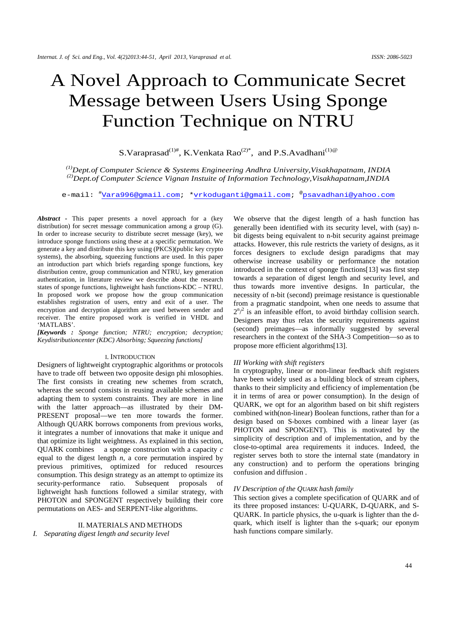# A Novel Approach to Communicate Secret Message between Users Using Sponge Function Technique on NTRU

S.Varaprasad $^{(1)^\#}$ , K.Venkata Rao $^{(2)^\ast}$ , and P.S.Avadhani $^{(1)^\circledR}$ 

*(1)Dept.of Computer Science & Systems Engineering Andhra University,Visakhapatnam, INDIA (2) Dept.of Computer Science Vignan Instuite of Information Technology,Visakhapatnam,INDIA*

e-mail: <sup>#</sup>Vara996@gmail.com; \*<u>vrkoduganti@gmail.com</u>; <sup>@</sup>psavadhani@yahoo.com

*Abstract* **-** This paper presents a novel approach for a (key distribution) for secret message communication among a group (G). In order to increase security to distribute secret message (key), we introduce sponge functions using these at a specific permutation. We generate a key and distribute this key using (PKCS)(public key crypto systems), the absorbing, squeezing functions are used. In this paper an introduction part which briefs regarding sponge functions, key distribution centre, group communication and NTRU, key generation authentication, in literature review we describe about the research states of sponge functions, lightweight hash functions-KDC – NTRU. In proposed work we propose how the group communication establishes registration of users, entry and exit of a user. The encryption and decryption algorithm are used between sender and receiver. The entire proposed work is verified in VHDL and 'MATLABS'.

*[Keywords : Sponge function; NTRU; encryption; decryption; Keydistributioncenter (KDC) Absorbing; Squeezing functions]*

#### I. INTRODUCTION

Designers of lightweight cryptographic algorithms or protocols have to trade off between two opposite design phi mlosophies. The first consists in creating new schemes from scratch, whereas the second consists in reusing available schemes and adapting them to system constraints. They are more in line with the latter approach—as illustrated by their DM-PRESENT proposal—we ten more towards the former. Although QUARK borrows components from previous works, it integrates a number of innovations that make it unique and that optimize its light weightness. As explained in this section, QUARK combines a sponge construction with a capacity *c*  equal to the digest length *n,* a core permutation inspired by previous primitives, optimized for reduced resources consumption. This design strategy as an attempt to optimize its security-performance ratio. Subsequent proposals of lightweight hash functions followed a similar strategy, with PHOTON and SPONGENT respectively building their core permutations on AES- and SERPENT-like algorithms.

# II. MATERIALS AND METHODS

*I. Separating digest length and security level* 

We observe that the digest length of a hash function has generally been identified with its security level, with (say) nbit digests being equivalent to n-bit security against preimage attacks. However, this rule restricts the variety of designs, as it forces designers to exclude design paradigms that may otherwise increase usability or performance the notation introduced in the context of sponge finctions[13] was first step towards a separation of digest length and security level, and thus towards more inventive designs. In particular, the necessity of n-bit (second) preimage resistance is questionable from a pragmatic standpoint, when one needs to assume that  $2^{n/2}$  is an infeasible effort, to avoid birthday collision search. Designers may thus relax the security requirements against (second) preimages—as informally suggested by several researchers in the context of the SHA-3 Competition—so as to propose more efficient algorithms[13].

#### *III Working with shift registers*

In cryptography, linear or non-linear feedback shift registers have been widely used as a building block of stream ciphers, thanks to their simplicity and efficiency of implementation (be it in terms of area or power consumption). In the design of QUARK, we opt for an algorithm based on bit shift registers combined with(non-linear) Boolean functions, rather than for a design based on S-boxes combined with a linear layer (as PHOTON and SPONGENT). This is motivated by the simplicity of description and of implementation, and by the close-to-optimal area requirements it induces. Indeed, the register serves both to store the internal state (mandatory in any construction) and to perform the operations bringing confusion and diffusion .

#### *IV Description of the QUARK hash family*

This section gives a complete specification of QUARK and of its three proposed instances: U-QUARK, D-QUARK, and S-QUARK. In particle physics, the u-quark is lighter than the dquark, which itself is lighter than the s-quark; our eponym hash functions compare similarly.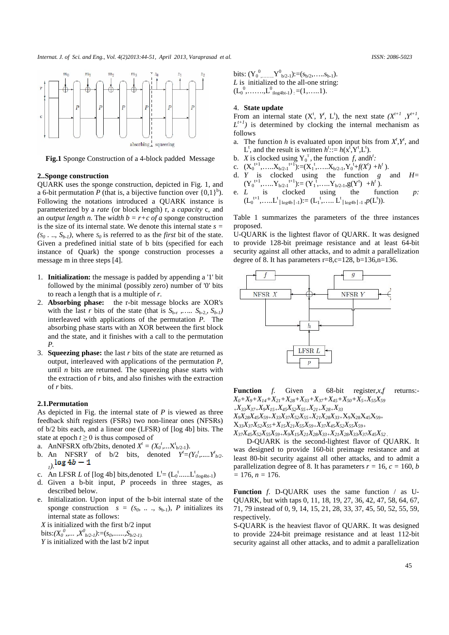*Internat. J. of Sci. and Eng., Vol. 4(2)2013:44-51, April 2013, Varaprasad et al. ISSN: 2086-5023*



**Fig.1** Sponge Construction of a 4-block padded Message

#### **2..Sponge construction**

QUARK uses the sponge construction, depicted in Fig. 1, and a 6-bit permutation  $P$  (that is, a bijective function over  $\{0,1\}^b$ ). Following the notations introduced a QUARK instance is parameterized by a *rate* (or block length) r, a *capacity* c, and an *output length n*. The *width b = r+c of a* sponge construction is the size of its internal state. We denote this internal state *s =*   $(S_0, \ldots, S_{b-1})$ , where  $S_0$  is referred to as the *first* bit of the state. Given a predefined initial state of b bits (specified for each instance of Quark) the sponge construction processes a message m in three steps [4].

- 1. **Initialization:** the message is padded by appending a '1' bit followed by the minimal (possibly zero) number of '0' bits to reach a length that is a multiple of *r.*
- 2. **Absorbing phase:** the r-bit message blocks are XOR's with the last *r* bits of the state (that is  $S_{b-r}$ ,  $\ldots S_{b-2}$ ,  $S_{b-1}$ ) interleaved with applications of the permutation *P.* The absorbing phase starts with an XOR between the first block and the state, and it finishes with a call to the permutation *P.*
- 3. **Squeezing phase:** the last *r* bits of the state are returned as output, interleaved with applications of the permutation *P,*  until *n* bits are returned. The squeezing phase starts with the extraction of *r* bits, and also finishes with the extraction of *r* bits.

## **2.1.Permutation**

As depicted in Fig. the internal state of *P* is viewed as three feedback shift registers (FSRs) two non-linear ones (NFSRs) of b/2 bits each, and a linear one (LFSR) of [log 4b] bits. The state at epoch  $t \geq 0$  is thus composed of

a. AnNFSRX of b/2bits, denoted  $X^t = (X_0^t, \ldots, X_{b/2-1}^t)$ .

- **b.** An NFSR*Y* of  $b/2$  bits, denoted  $Y^t = (Y_0^t, ..., Y_{b/2}^t,$  $10g\sqrt{4b-1}$
- c. An LFSR *L* of [log 4b] bits,denoted  $L^t = (L_0^t \dots L_{log4b-1}^t)$
- d. Given a b-bit input, *P* proceeds in three stages, as described below.
- e. Initialization. Upon input of the b-bit internal state of the sponge construction  $s = (S_0, \ldots, S_{b-1}), P$  initializes its internal state as follows:
- *X* is initialized with the first b/2 input

bits: $(X_0^0, \ldots, X_{b/2-l}^0) := (s_0, \ldots, s_{b/2-l})$ .

*Y* is initialized with the last b/2 input

bits:  $(Y_0^0, \ldots, Y_{b/2-1}^0) := (s_{b/2}, \ldots, s_{b-1}).$ *L* is initialized to the all-one string:  $(L_0^{0}, \ldots, L_{\lfloor \log 4b \rfloor - 1}^{0}) = (1, \ldots, 1).$ 

#### 4. **State update**

From an internal state  $(X^t, Y^t, L^t)$ , the next state  $(X^{t+1}, Y^{t+1},$  $L^{t+1}$ ) is determined by clocking the internal mechanism as follows

- a. The function h is evaluated upon input bits from  $X^t$ ,  $Y^t$ , and L<sup>t</sup>, and the result is written  $h^t := h(x^t, Y^t, L^t)$ .
- b. *X* is clocked using  $Y_0^T$ , the function *f*, and *h<sup>t</sup>*:
- c.  $(X_0^{t+1}, \ldots, X_{b/2-1}^{t+1}) := (X_1^t, \ldots, X_{b/2-1}, Y_0^t + f(X^t) + h^t).$
- d. *Y* is clocked using the function *g* and *H=*  $(Y_0^{t+1}, \ldots, Y_{b/2-1}^{t+1}) := (Y_1^{t}, \ldots, Y_{b/2-1}, g(Y^t) + h^t).$
- e. *L* is clocked using the function *p:*  $(L_0^{t+1}, \ldots, L_{\lfloor \log 4b \rfloor - 1}) := (L_1^t, \ldots, L_{\lfloor \log 4b \rfloor - 1}^t, p(L^t)).$

## Table 1 summarizes the parameters of the three instances proposed.

U-QUARK is the lightest flavor of QUARK. It was designed to provide 128-bit preimage resistance and at least 64-bit security against all other attacks, and to admit a parallelization degree of 8. It has parameters  $r=8$ ,  $c=128$ ,  $b=136$ ,  $n=136$ .



**Function** *f.* Given a 68-bit register*,x,f* returns:-  $X_0+X_9+X_{14}+X_{21}+X_{28}+X_{33}+X_{37}+X_{45}+X_{50}+X_{5+}X_{55}X_{59}$ *+X33X37+X9X15+X45X52X55+X21+X28+X33* 

*X9X28X45X59+X33X37X52X55+X21X28X33+*X9X28X45X59+

X*33X37X52X55+X15X21X55X59+X37X45X52X55X59+* 

 $X_{37}X_{45}X_{52}X_{55}X_{59+}X_{9}X_{15}X_{21}X_{28}X_{33}+X_{21}X_{28}X_{33}X_{37}X_{45}X_{52}$ 

D-QUARK is the second-lightest flavor of QUARK. It was designed to provide 160-bit preimage resistance and at least 80-bit security against all other attacks, and to admit a parallelization degree of 8. It has parameters  $r = 16$ ,  $c = 160$ , *b =* 176, *n =* 176.

**Function** *f*. D-QUARK uses the same function / as U-QUARK, but with taps 0, 11, 18, 19, 27, 36, 42, 47, 58, 64, 67, 71, 79 instead of 0, 9, 14, 15, 21, 28, 33, 37, 45, 50, 52, 55, 59, respectively.

S-QUARK is the heaviest flavor of QUARK. It was designed to provide 224-bit preimage resistance and at least 112-bit security against all other attacks, and to admit a parallelization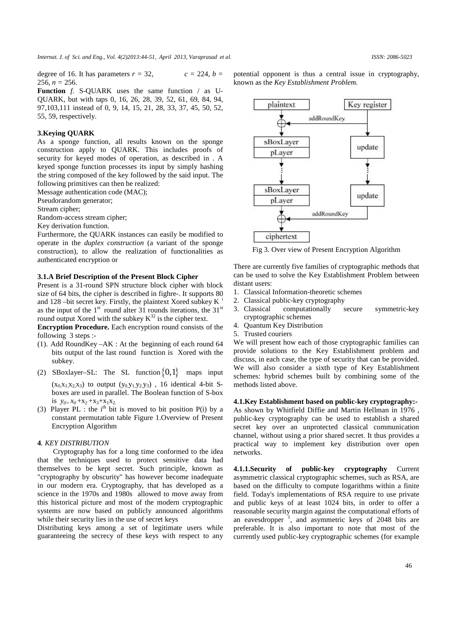degree of 16. It has parameters  $r = 32$ ,  $c = 224$ ,  $b =$ 256,  $n = 256$ .

**Function** *f*. S-QUARK uses the same function / as U-QUARK, but with taps 0, 16, 26, 28, 39, 52, 61, 69, 84, 94, 97,103,111 instead of 0, 9, 14, 15, 21, 28, 33, 37, 45, 50, 52, 55, 59, respectively.

## **3.Keying QUARK**

As a sponge function, all results known on the sponge construction apply to QUARK. This includes proofs of security for keyed modes of operation, as described in . A keyed sponge function processes its input by simply hashing the string composed of the key followed by the said input. The following primitives can then be realized:

Message authentication code (MAC);

Pseudorandom generator;

Stream cipher;

Random-access stream cipher;

Key derivation function.

Furthermore, the QUARK instances can easily be modified to operate in the *duplex construction* (a variant of the sponge construction), to allow the realization of functionalities as authenticated encryption or

## **3.1.A Brief Description of the Present Block Cipher**

Present is a 31-round SPN structure block cipher with block size of 64 bits, the cipher is described in fighre-. It supports 80 and 128 –bit secret key. Firstly, the plaintext Xored subkey K<sup> $+$ </sup> as the input of the  $1<sup>st</sup>$  round alter 31 rounds iterations, the 31 $<sup>st</sup>$ </sup> round output Xored with the subkey  $K^{32}$  is the cipher text.

**Encryption Procedure.** Each encryption round consists of the following 3 steps :-

- (1). Add RoundKey –AK : At the beginning of each round 64 bits output of the last round function is Xored with the subkey.
- (2) SBoxlayer–SL: The SL function  $\{0,1\}$  maps input  $(x_{0,1,1,1,2,1,2,1,3})$  to output  $(y_{0,1,1,1,2,1,3})$ , 16 identical 4-bit Sboxes are used in parallel. The Boolean function of S-box
- is  $y_{0} = x_0 + x_2 + x_3 + x_1x_2$ . (3) Player PL : the i<sup>th</sup> bit is moved to bit position P(i) by a constant permutation table Figure 1.Overview of Present Encryption Algorithm

# **4***. KEY DISTRIBUTION*

Cryptography has for a long time conformed to the idea that the techniques used to protect sensitive data had themselves to be kept secret. Such principle, known as "cryptography by obscurity" has however become inadequate in our modern era. Cryptography, that has developed as a science in the 1970s and 1980s allowed to move away from this historical picture and most of the modern cryptographic systems are now based on publicly announced algorithms while their security lies in the use of secret keys

Distributing keys among a set of legitimate users while guaranteeing the secrecy of these keys with respect to any potential opponent is thus a central issue in cryptography, known as the *Key Establishment Problem.*



Fig 3. Over view of Present Encryption Algorithm

There are currently five families of cryptographic methods that can be used to solve the Key Establishment Problem between distant users:

- 1. Classical Information-theoretic schemes
- 2. Classical public-key cryptography
- 3. Classical computationally secure symmetric-key cryptographic schemes
- 4. Quantum Key Distribution
- 5. Trusted couriers

We will present how each of those cryptographic families can provide solutions to the Key Establishment problem and discuss, in each case, the type of security that can be provided. We will also consider a sixth type of Key Establishment schemes: hybrid schemes built by combining some of the methods listed above.

## **4.1.Key Establishment based on public-key cryptography:-**

As shown by Whitfield Diffie and Martin Hellman in 1976 , public-key cryptography can be used to establish a shared secret key over an unprotected classical communication channel, without using a prior shared secret. It thus provides a practical way to implement key distribution over open networks.

**4.1.1.Security of public-key cryptography** Current asymmetric classical cryptographic schemes, such as RSA, are based on the difficulty to compute logarithms within a finite field. Today's implementations of RSA require to use private and public keys of at least 1024 bits, in order to offer a reasonable security margin against the computational efforts of an eavesdropper<sup>1</sup>, and asymmetric keys of 2048 bits are preferable. It is also important to note that most of the currently used public-key cryptographic schemes (for example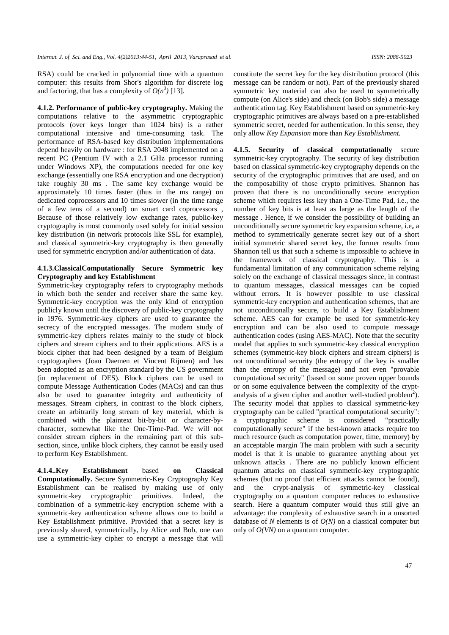RSA) could be cracked in polynomial time with a quantum computer: this results from Shor's algorithm for discrete log and factoring, that has a complexity of  $O(n^3)$  [13].

**4.1.2. Performance of public-key cryptography.** Making the computations relative to the asymmetric cryptographic protocols (over keys longer than 1024 bits) is a rather computational intensive and time-consuming task. The performance of RSA-based key distribution implementations depend heavily on hardware : for RSA 2048 implemented on a recent PC (Pentium IV with a 2.1 GHz processor running under Windows XP), the computations needed for one key exchange (essentially one RSA encryption and one decryption) take roughly 30 ms *.* The same key exchange would be approximately 10 times faster (thus in the ms range) on dedicated coprocessors and 10 times slower (in the time range of a few tens of a second) on smart card coprocessors , Because of those relatively low exchange rates, public-key cryptography is most commonly used solely for initial session key distribution (in network protocols like SSL for example), and classical symmetric-key cryptography is then generally used for symmetric encryption and/or authentication of data.

## **4.1.3.ClassicalComputationally Secure Symmetric key Cryptography and key Establishment**

Symmetric-key cryptography refers to cryptography methods in which both the sender and receiver share the same key. Symmetric-key encryption was the only kind of encryption publicly known until the discovery of public-key cryptography in 1976. Symmetric-key ciphers are used to guarantee the secrecy of the encrypted messages. The modern study of symmetric-key ciphers relates mainly to the study of block ciphers and stream ciphers and to their applications. AES is a block cipher that had been designed by a team of Belgium cryptographers (Joan Daemen et Vincent Rijmen) and has been adopted as an encryption standard by the US government (in replacement of DES). Block ciphers can be used to compute Message Authentication Codes (MACs) and can thus also be used to guarantee integrity and authenticity of messages. Stream ciphers, in contrast to the block ciphers, create an arbitrarily long stream of key material, which is combined with the plaintext bit-by-bit or character-bycharacter, somewhat like the One-Time-Pad. We will not consider stream ciphers in the remaining part of this subsection, since, unlike block ciphers, they cannot be easily used to perform Key Establishment.

**4.1.4..Key Establishment** based **on Classical Computationally.** Secure Symmetric-Key Cryptography Key Establishment can be realised by making use of only symmetric-key cryptographic primitives. Indeed, the combination of a symmetric-key encryption scheme with a symmetric-key authentication scheme allows one to build a Key Establishment primitive. Provided that a secret key is previously shared, symmetrically, by Alice and Bob, one can use a symmetric-key cipher to encrypt a message that will

constitute the secret key for the key distribution protocol (this message can be random or not). Part of the previously shared symmetric key material can also be used to symmetrically compute (on Alice's side) and check (on Bob's side) a message authentication tag. Key Establishment based on symmetric-key cryptographic primitives are always based on a pre-established symmetric secret, needed for authentication. In this sense, they only allow *Key Expansion* more than *Key Establishment.*

**4.1.5. Security of classical computationally** secure symmetric-key cryptography. The security of key distribution based on classical symmetric-key cryptography depends on the security of the cryptographic primitives that are used, and on the composability of those crypto primitives. Shannon has proven that there is no unconditionally secure encryption scheme which requires less key than a One-Time Pad, i.e., the number of key bits is at least as large as the length of the message . Hence, if we consider the possibility of building an unconditionally secure symmetric key expansion scheme, i.e., a method to symmetrically generate secret key out of a short initial symmetric shared secret key, the former results from Shannon tell us that such a scheme is impossible to achieve in the framework of classical cryptography. This is a fundamental limitation of any communication scheme relying solely on the exchange of classical messages since, in contrast to quantum messages, classical messages can be copied without errors. It is however possible to use classical symmetric-key encryption and authentication schemes, that are not unconditionally secure, to build a Key Establishment scheme. AES can for example be used for symmetric-key encryption and can be also used to compute message authentication codes (using AES-MAC). Note that the security model that applies to such symmetric-key classical encryption schemes (symmetric-key block ciphers and stream ciphers) is not unconditional security (the entropy of the key is smaller than the entropy of the message) and not even "provable computational security" (based on some proven upper bounds or on some equivalence between the complexity of the cryptanalysis of a given cipher and another well-studied problem<sup>2</sup>). The security model that applies to classical symmetric-key cryptography can be called "practical computational security": a cryptographic scheme is considered "practically computationally secure" if the best-known attacks require too much resource (such as computation power, time, memory) by an acceptable margin The main problem with such a security model is that it is unable to guarantee anything about yet unknown attacks . There are no publicly known efficient quantum attacks on classical symmetric-key cryptographic schemes (but no proof that efficient attacks cannot be found), and the crypt-analysis of symmetric-key classical cryptography on a quantum computer reduces to exhaustive search. Here a quantum computer would thus still give an advantage: the complexity of exhaustive search in a unsorted database of *N* elements is of *O(N)* on a classical computer but only of *O(VN)* on a quantum computer.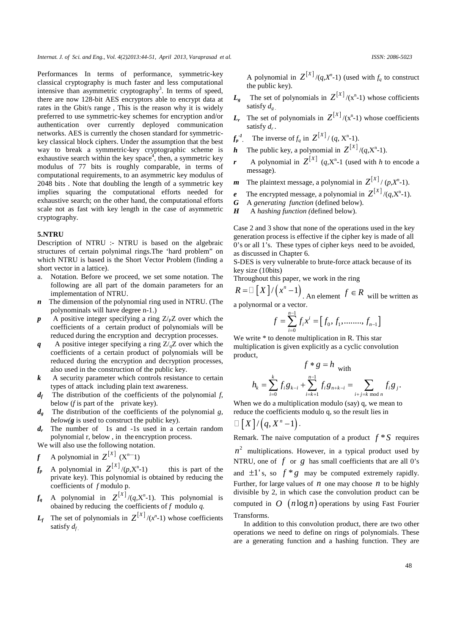*Internat. J. of Sci. and Eng., Vol. 4(2)2013:44-51, April 2013, Varaprasad et al. ISSN: 2086-5023*

Performances In terms of performance, symmetric-key classical cryptography is much faster and less computational intensive than asymmetric cryptography<sup>3</sup>. In terms of speed, there are now 128-bit AES encryptors able to encrypt data at rates in the Gbit/s range , This is the reason why it is widely preferred to use symmetric-key schemes for encryption and/or authentication over currently deployed communication networks. AES is currently the chosen standard for symmetrickey classical block ciphers. Under the assumption that the best way to break a symmetric-key cryptographic scheme is exhaustive search within the key space<sup>4</sup>, then, a symmetric key modulus of 77 bits is roughly comparable, in terms of computational requirements, to an asymmetric key modulus of 2048 bits . Note that doubling the length of a symmetric key implies squaring the computational efforts needed for exhaustive search; on the other hand, the computational efforts scale not as fast with key length in the case of asymmetric cryptography.

#### **5.NTRU**

Description of NTRU :- NTRU is based on the algebraic structures of certain polynimal rings.The 'hard problem" on which NTRU is based is the Short Vector Problem (finding a short vector in a lattice).

- a. Notation. Before we proceed, we set some notation. The following are all part of the domain parameters for an implementation of NTRU.
- *n*The dimension of the polynomial ring used in NTRU. (The polynominals will have degree n-1.)
- *p* A positive integer specifying a ring  $Z<sub>P</sub>Z$  over which the coefficients of a certain product of polynomials will be reduced during the encryption and decryption processes.
- *q* A positive integer specifying a ring Z/<sub>a</sub>Z over which the coefficients of a certain product of polynomials will be reduced during the encryption and decryption processes, also used in the construction of the public key.
- *k* A security parameter which controls resistance to certain types of attack including plain text awareness.
- $d_f$  The distribution of the coefficients of the polynomial *f*, below (*f* is part of the private key).
- *dg* The distribution of the coefficients of the polynomial *g, below(g* is used to construct the public key).
- *dr* The number of 1s and -1s used in a certain random polynomial r, below , in the encryption process.

We will also use the following notation.

- *f* A polynomial in  $Z^{[X]} (X^{n-1})$
- $f_n$  A polynomial in  $Z^{[X]}/(p, X^{n-1})$ this is part of the private key). This polynomial is obtained by reducing the coefficients of *f* modulo p.
- $f_q$  A polynomial in  $Z^{[X]}/(q, X^n-1)$ . This polynomial is obained by reducing the coefficients of  $f$  modulo  $q$ .
- *L<sub>f</sub>* The set of polynomials in  $Z^{[X]} / (x^n 1)$  whose coefficients satisfy  $d_f$

A polynomial in  $Z^{[X]} / (q, X^n - 1)$  (used with  $f_q$  to construct the public key).

- $L_g$  The set of polynomials in  $Z^{[X]} / (x^n-1)$  whose cofficients satisfy  $d_e$
- $L_r$  The set of polynomials in  $Z^{[X]} / (x^n-1)$  whose coefficients satisfy *dr* .
- *fp -1* The inverse of  $f_q$  in  $Z^{[X]} / (q, X^{n-1})$ .
- *h* The public key, a polynomial in  $Z^{[X]}/(q, X^{n-1})$ .
- *r* A polynomial in  $Z^{[X]}$  (q,X<sup>n</sup>-1 (used with *h* to encode a message).
- *m* The plaintext message, a polynomial in  $Z^{[X]} / (p, X^n 1)$ .
- *e* The encrypted message, a polynomial in  $Z^{[X]}/(q, X^{n-1})$ .
- *G* A *generating function* (defined below).
- *H* A *hashing function (*defined below).

Case 2 and 3 show that none of the operations used in the key generation process is effective if the cipher key is made of all 0's or all 1's. These types of cipher keys need to be avoided, as discussed in Chapter 6.

S-DES is very vulnerable to brute-force attack because of its key size (10bits)

Throughout this paper, we work in the ring

$$
R = \oint_{R} [X]/(x^{n} - 1)
$$
  
 An element  $f \in R$  will be written as a polynomial or a vector.

$$
f = \sum_{i=0}^{n-1} f_i x^i = [f_0, f_1, \dots, f_{n-1}]
$$

We write  $*$  to denote multiplication in R. This star multiplication is given explicitly as a cyclic convolution product,

$$
f * g = h_{\text{with}}
$$

$$
h_{k} = \sum_{i=0}^{k} f_{i} g_{k-i} + \sum_{i=k+1}^{n-1} f_{i} g_{n+k-i} = \sum_{i+j=k \bmod n} f_{i} g_{j}.
$$

When we do a multiplication modulo (say) q, we mean to reduce the coefficients modulo q, so the result lies in

$$
\mathfrak{C}\left[X\right]/\left(q,X^{n}-1\right).
$$

Remark. The naive computation of a product  $f * S$  requires

 $n^2$  multiplications. However, in a typical product used by NTRU, one of  $f$  or  $g$  has small coefficients that are all  $0's$ and  $\pm 1$ 's, so  $f * g$  may be computed extremely rapidly. Further, for large values of  $n$  one may choose  $n$  to be highly divisible by 2, in which case the convolution product can be computed in  $O(n \log n)$  operations by using Fast Fourier Transforms.

In addition to this convolution product, there are two other operations we need to define on rings of polynomials. These are a generating function and a hashing function. They are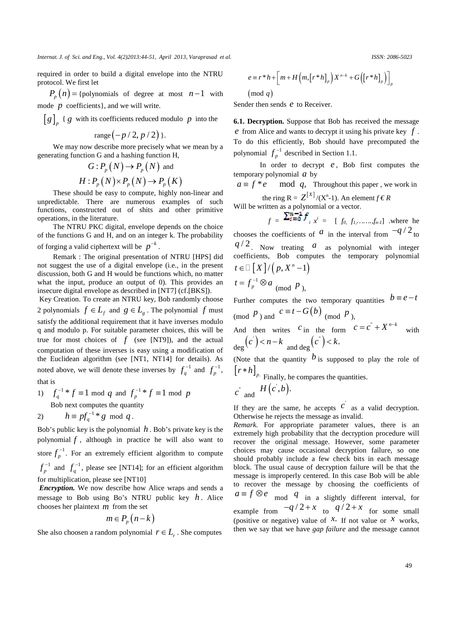required in order to build a digital envelope into the NTRU protocol. We first let

 $P_n(n) =$ {polynomials of degree at most  $n-1$  with mode *p* coefficients}, and we will write.

 $[g]_p$  {  $g$  with its coefficients reduced modulo  $p$  into the

range
$$
(-p/2, p/2)
$$
 }.

We may now describe more precisely what we mean by a generating function G and a hashing function H,

$$
G: P_p(N) \to P_p(N) \text{ and}
$$
  

$$
H: P_p(N) \times P_p(N) \to P_p(K)
$$

These should be easy to compute, highly non-linear and unpredictable. There are numerous examples of such functions, constructed out of shits and other primitive operations, in the literature.

The NTRU PKC digital, envelope depends on the choice of the functions G and H, and on an integer k. The probability of forging a valid ciphertext will be  $p^{-k}$ .

Remark : The original presentation of NTRU [HPS] did not suggest the use of a digital envelope (i.e., in the present discussion, both G and H would be functions which, no matter what the input, produce an output of 0). This provides an insecure digital envelope as described in [NT7] (cf.[BKS]).

Key Creation. To create an NTRU key, Bob randomly choose 2 polynomials  $f \in L_f$  and  $g \in L_g$ . The polynomial  $f$  must satisfy the additional requirement that it have inverses modulo q and modulo p. For suitable parameter choices, this will be true for most choices of *f* (see [NT9]), and the actual computation of these inverses is easy using a modification of the Euclidean algorithm (see [NT1, NT14] for details). As noted above, we will denote these inverses by  $f_q^{-1}$  and  $f_p^{-1}$ , that is

1) 
$$
f_q^{-1} * f \equiv 1 \mod q
$$
 and  $f_p^{-1} * f \equiv 1 \mod p$   
Bob next computes the quantity

$$
h \equiv p f_q^{-1} * g \mod q.
$$

Bob's public key is the polynomial *h* . Bob's private key is the polynomial *f* , although in practice he will also want to store  $f_p^{-1}$ . For an extremely efficient algorithm to compute  $f_p^{-1}$  and  $f_q^{-1}$ , please see [NT14]; for an efficient algorithm for multiplication, please see [NT10]

*Encryption.* We now describe how Alice wraps and sends a message to Bob using Bo's NTRU public key  $h$ . Alice chooses her plaintext *m* from the set

$$
m\in P_p(n-k)
$$

She also choosen a random polynomial  $r \in L$ . She computes

$$
e \equiv r \ast h + \left[ m + H \left( m, \left[ r \ast h \right]_p \right) X^{n-k} + G \left( \left[ r \ast h \right]_p \right) \right]_p
$$

 $(mod q)$ 

Sender then sends  $e$  to Receiver.

**6.1. Decryption.** Suppose that Bob has received the message *e* from Alice and wants to decrypt it using his private key *f* . To do this efficiently, Bob should have precomputed the polynomial  $f_p^{-1}$  described in Section 1.1.

In order to decrypt  $e$ , Bob first computes the temporary polynomial *a* by

 $a \equiv f^*e$  mod q, Throughout this paper, we work in the ring  $R = Z^{[X]} / (X^{n-1})$ . An element  $f \in R$ 

Will be written as a polynomial or a vector.

 $f =$   $4i = 0$   $\frac{1}{i}x^{i} = [f_{0}, f_{1}, \dots, f_{n-1}]$  where he chooses the coefficients of  $\alpha$  in the interval from  $\frac{-q}{2}$  to  $q/2$ . Now treating *a* as polynomial with integer coefficients, Bob computes the temporary polynomial  $t \in \mathfrak{C}[X]/(p, X^n-1)$  $t = f_p^{-1} \otimes a$  (mod *P*),

Further computes the two temporary quantities  $b = e - t$ 

$$
\pmod{P} \text{ and } c \equiv t - G(b) \pmod{P},
$$

And then writes  $c$  in the form  $c = c^{n} + X^{n-k}$  with  $\deg(c') < n-k$  and  $\deg(c<sup>r</sup>) < k$ .

(Note that the quantity  $\hat{b}$  is supposed to play the role of  $[r * h]_{p}$ . Finally, he compares the quantities.

$$
c^{\dagger} \text{ and } H(c^{\dagger},b).
$$

If they are the same, he accepts  $\mathcal{C}$  as a valid decryption. Otherwise he rejects the message as invalid.

*Remark.* For appropriate parameter values, there is an extremely high probability that the decryption procedure will recover the original message. However, some parameter choices may cause occasional decryption failure, so one should probably include a few check bits in each message block. The usual cause of decryption failure will be that the message is improperly centered. In this case Bob will be able to recover the message by choosing the coefficients of  $a \equiv f \otimes e$  mod *q* in a slightly different interval, for example from  $-q/2 + x$  to  $q/2 + x$  for some small (positive or negative) value of  $\overline{x}$ . If not value or  $\overline{x}$  works, then we say that we have *gap failure* and the message cannot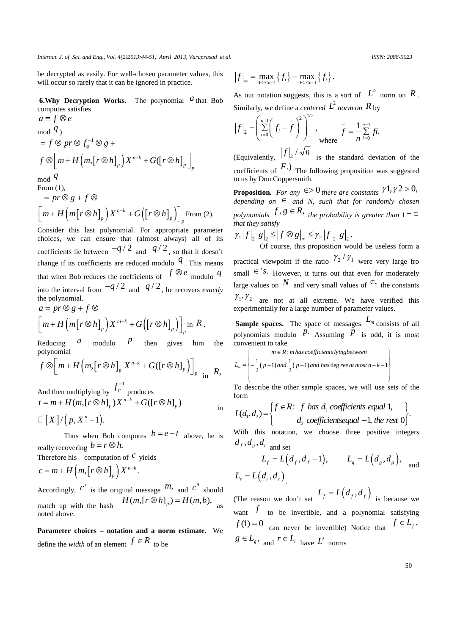be decrypted as easily. For well-chosen parameter values, this will occur so rarely that it can be ignored in practice.

**6.Why Decryption Works.** The polynomial  $a$  that Bob computes satisfies

$$
a \equiv f \otimes e
$$
  
\nmod  $q$ )  
\n
$$
= f \otimes pr \otimes f_q^{-1} \otimes g +
$$
  
\n
$$
f \otimes \left[ m + H \left( m, \left[ r \otimes h \right]_p \right) X^{n-k} + G \left( r \otimes h \right]_p \right]_p
$$
  
\nmod  $q$   
\nFrom (1),

$$
= pr \otimes g + f \otimes
$$
  
\n
$$
\left[ m + H \left( m \left[ r \otimes h \right]_p \right) X^{n-k} + G \left( \left[ r \otimes h \right]_p \right) \right]_p
$$
 From (2).

Consider this last polynomial. For appropriate parameter choices, we can ensure that (almost always) all of its coefficients lie between  $-q/2$  and  $q/2$ , so that it doesn't change if its coefficients are reduced modulo  $q$ . This means that when Bob reduces the coefficients of  $f \otimes e$  modulo *q* into the interval from  $-q/2$  and  $q/2$ , he recovers *exactly* the polynomial.  $a = pr \otimes a + f \otimes$ 

$$
\left[n+H\left(m\left[r\otimes h\right]_{p}\right)X^{ni-k}+G\left(\left[r\otimes h\right]_{p}\right)\right]_{p} \text{ in } R.
$$

Reducing *a* modulo *P* then gives him the polynomial

$$
f\otimes \left[m+H\left(m,\left[r\otimes h\right]_{p}X^{n-k}+G\left(\left[r\otimes h\right]_{p}\right)\right]_{p}\right]_{n}R,
$$

And then multiplying by 
$$
f_p^{-1}
$$
 produces  
\n $t = m + H(m, [r \otimes h]_p)X^{n-k} + G([r \otimes h]_p)$  in

$$
\mathfrak{C}\left[X\right]/\left(p,X^{n}-1\right).
$$

Thus when Bob computes  $b = e - t$  above, he is really recovering  $b = r \otimes h$ .

Therefore his computation of *c* yields  $c = m + H\left(m, \left[ r \otimes h \right]_p \right) X^{n-k}.$ 

Accordingly,  $c'$  is the original message  $m$ , and  $c^n$  should match up with the hash  $H(m, [r \otimes h]_p) = H(m, b)$ , as noted above.

**Parameter choices – notation and a norm estimate.** We define the *width* of an element  $f \in R$  to be

$$
\left|f\right|_{\infty}=\max_{0\leq i\leq n-1}\left\{f_{i}\right\}-\max_{0\leq i\leq n-1}\left\{f_{i}\right\}.
$$

As our notation suggests, this is a sort of  $L^{\infty}$  norm on R. Similarly, we define a *centered*  $L^2$  *norm on*  $R$  by

$$
|f|_2 = \left(\sum_{i=0}^{n-1} \left(f_i - \overline{f}\right)^2\right)^{1/2}, \text{ where } \overline{f} = \frac{1}{n} \sum_{i=0}^{n-1} f_i.
$$

(Equivalently,  $|f|_2 / \sqrt{n}$  is the standard deviation of the coefficients of  $F$ .) The following proposition was suggested to us by Don Coppersmith.

**Proposition.** *For any*  $\epsilon > 0$  *there are constants*  $\gamma$ 1,  $\gamma$ 2 > 0, *depending on*  $\in$  *and N, such that for randomly chosen polynomials*  $f, g \in \mathbb{R}$ , the probability is greater than  $1 - \epsilon$ *that they satisfy*

 $\gamma_1 \left|f\right|_2 \left|g\right|_2 \leq \left|f\otimes g\right|_\infty \leq \gamma_2 \left|f\right|_2 \left|g\right|_2.$ 

Of course, this proposition would be useless form a practical viewpoint if the ratio  $\frac{\gamma_2}{\gamma_1}$  were very large fro small  $\in$ ' *S*. However, it turns out that even for moderately large values on  $N$  and very small values of  $\epsilon$ , the constants  $\gamma_1, \gamma_2$  are not at all extreme. We have verified this experimentally for a large number of parameter values.

**Sample spaces.** The space of messages  $L_m$  consists of all polynomials modulo  $P$ . Assuming  $P$  is odd, it is most convenient to take

$$
L_m = \left\{ -\frac{1}{2}(p-1) \text{ and } \frac{1}{2}(p-1) \text{ and has degree at most } n-k-1 \right\}
$$

To describe the other sample spaces, we will use sets of the form

$$
L(d_1, d_2) = \begin{cases} f \in R: & f \text{ has } d_1 \text{ coefficients equal 1,} \\ d_2 \text{ coefficients equal } -1, & \text{the rest } 0 \end{cases}.
$$

With this notation, we choose three positive integers  $d_f$ ,  $d_g$ ,  $d_r$  and set

$$
L_f = L(d_f, d_f - 1), \qquad L_g = L(d_g, d_g),
$$
 and  

$$
L_r = L(d_r, d_r)
$$

(The reason we don't set  $L_f = L(d_f, d_f)$  is because we want  $f$  to be invertible, and a polynomial satisfying  $f(1) = 0$  can never be invertible) Notice that  $f \in L_f$ ,  $g \in L_g$ , and  $r \in L_r$  have  $L^2$  norms

50